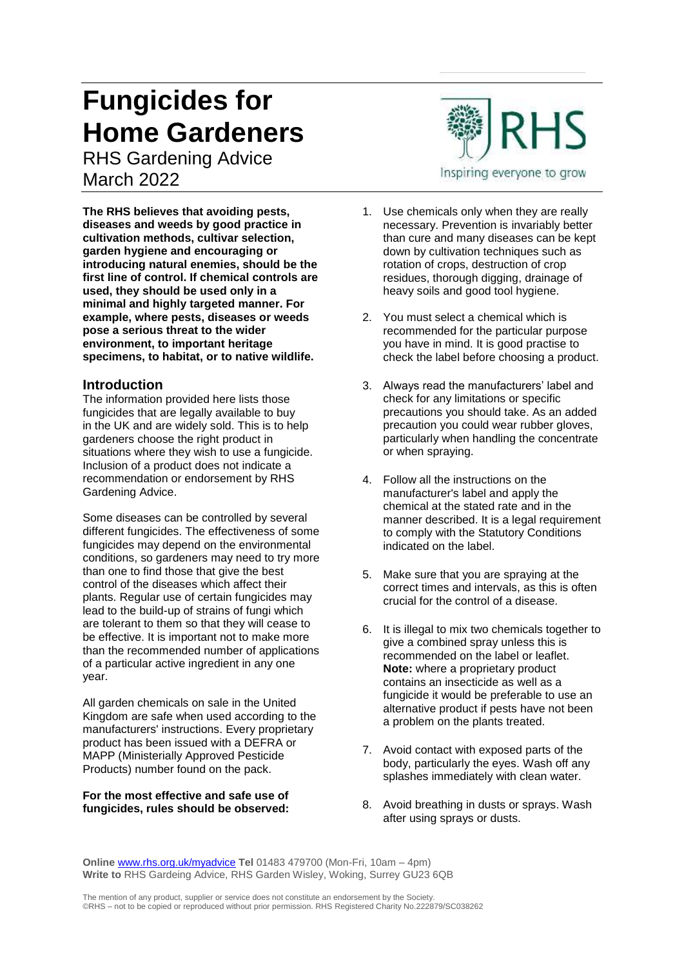# **Fungicides for Home Gardeners**

RHS Gardening Advice March 2022

**The RHS believes that avoiding pests, diseases and weeds by good practice in cultivation methods, cultivar selection, garden hygiene and encouraging or introducing natural enemies, should be the first line of control. If chemical controls are used, they should be used only in a minimal and highly targeted manner. For example, where pests, diseases or weeds pose a serious threat to the wider environment, to important heritage specimens, to habitat, or to native wildlife.**

#### **Introduction**

The information provided here lists those fungicides that are legally available to buy in the UK and are widely sold. This is to help gardeners choose the right product in situations where they wish to use a fungicide. Inclusion of a product does not indicate a recommendation or endorsement by RHS Gardening Advice.

Some diseases can be controlled by several different fungicides. The effectiveness of some fungicides may depend on the environmental conditions, so gardeners may need to try more than one to find those that give the best control of the diseases which affect their plants. Regular use of certain fungicides may lead to the build-up of strains of fungi which are tolerant to them so that they will cease to be effective. It is important not to make more than the recommended number of applications of a particular active ingredient in any one year.

All garden chemicals on sale in the United Kingdom are safe when used according to the manufacturers' instructions. Every proprietary product has been issued with a DEFRA or MAPP (Ministerially Approved Pesticide Products) number found on the pack.

#### **For the most effective and safe use of fungicides, rules should be observed:**



- 1. Use chemicals only when they are really necessary. Prevention is invariably better than cure and many diseases can be kept down by cultivation techniques such as rotation of crops, destruction of crop residues, thorough digging, drainage of heavy soils and good tool hygiene.
- 2. You must select a chemical which is recommended for the particular purpose you have in mind. It is good practise to check the label before choosing a product.
- 3. Always read the manufacturers' label and check for any limitations or specific precautions you should take. As an added precaution you could wear rubber gloves, particularly when handling the concentrate or when spraying.
- 4. Follow all the instructions on the manufacturer's label and apply the chemical at the stated rate and in the manner described. It is a legal requirement to comply with the Statutory Conditions indicated on the label.
- 5. Make sure that you are spraying at the correct times and intervals, as this is often crucial for the control of a disease.
- 6. It is illegal to mix two chemicals together to give a combined spray unless this is recommended on the label or leaflet. **Note:** where a proprietary product contains an insecticide as well as a fungicide it would be preferable to use an alternative product if pests have not been a problem on the plants treated.
- 7. Avoid contact with exposed parts of the body, particularly the eyes. Wash off any splashes immediately with clean water.
- 8. Avoid breathing in dusts or sprays. Wash after using sprays or dusts.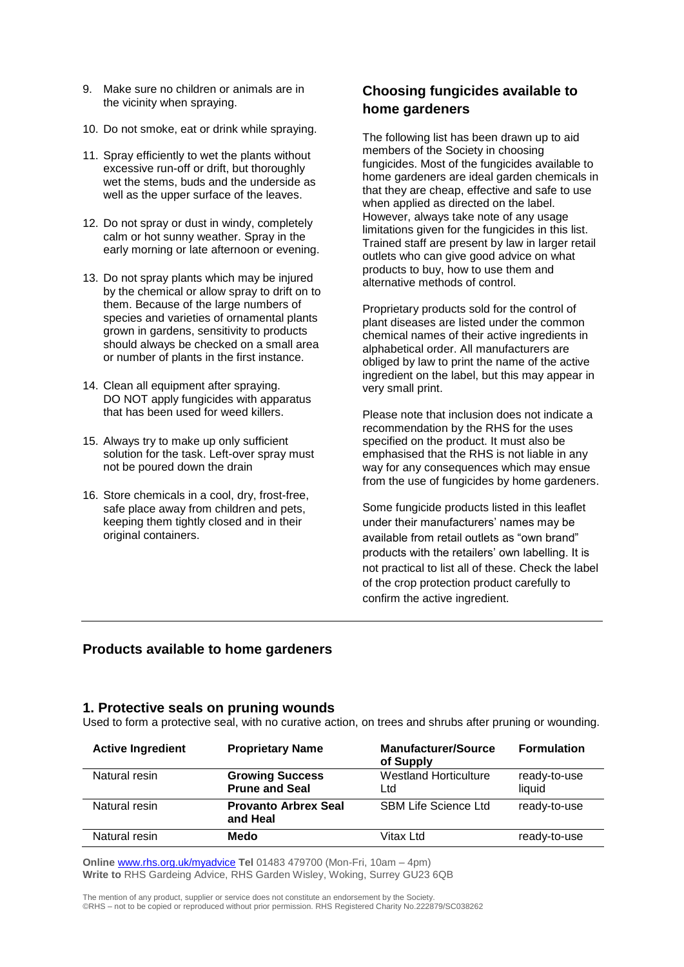- 9. Make sure no children or animals are in the vicinity when spraying.
- 10. Do not smoke, eat or drink while spraying.
- 11. Spray efficiently to wet the plants without excessive run-off or drift, but thoroughly wet the stems, buds and the underside as well as the upper surface of the leaves.
- 12. Do not spray or dust in windy, completely calm or hot sunny weather. Spray in the early morning or late afternoon or evening.
- 13. Do not spray plants which may be injured by the chemical or allow spray to drift on to them. Because of the large numbers of species and varieties of ornamental plants grown in gardens, sensitivity to products should always be checked on a small area or number of plants in the first instance.
- 14. Clean all equipment after spraying. DO NOT apply fungicides with apparatus that has been used for weed killers.
- 15. Always try to make up only sufficient solution for the task. Left-over spray must not be poured down the drain
- 16. Store chemicals in a cool, dry, frost-free, safe place away from children and pets, keeping them tightly closed and in their original containers.

# **Choosing fungicides available to home gardeners**

The following list has been drawn up to aid members of the Society in choosing fungicides. Most of the fungicides available to home gardeners are ideal garden chemicals in that they are cheap, effective and safe to use when applied as directed on the label. However, always take note of any usage limitations given for the fungicides in this list. Trained staff are present by law in larger retail outlets who can give good advice on what products to buy, how to use them and alternative methods of control.

Proprietary products sold for the control of plant diseases are listed under the common chemical names of their active ingredients in alphabetical order. All manufacturers are obliged by law to print the name of the active ingredient on the label, but this may appear in very small print.

Please note that inclusion does not indicate a recommendation by the RHS for the uses specified on the product. It must also be emphasised that the RHS is not liable in any way for any consequences which may ensue from the use of fungicides by home gardeners.

Some fungicide products listed in this leaflet under their manufacturers' names may be available from retail outlets as "own brand" products with the retailers' own labelling. It is not practical to list all of these. Check the label of the crop protection product carefully to confirm the active ingredient.

# **Products available to home gardeners**

#### **1. Protective seals on pruning wounds**

Used to form a protective seal, with no curative action, on trees and shrubs after pruning or wounding.

| <b>Active Ingredient</b> | <b>Proprietary Name</b>                         | <b>Manufacturer/Source</b><br>of Supply | <b>Formulation</b>     |
|--------------------------|-------------------------------------------------|-----------------------------------------|------------------------|
| Natural resin            | <b>Growing Success</b><br><b>Prune and Seal</b> | <b>Westland Horticulture</b><br>Ltd     | ready-to-use<br>liquid |
| Natural resin            | <b>Provanto Arbrex Seal</b><br>and Heal         | <b>SBM Life Science Ltd</b>             | ready-to-use           |
| Natural resin            | Medo                                            | Vitax Ltd                               | ready-to-use           |

**Online** [www.rhs.org.uk/myadvice](http://www.rhs.org.uk/myadvice) **Tel** 01483 479700 (Mon-Fri, 10am – 4pm) **Write to** RHS Gardeing Advice, RHS Garden Wisley, Woking, Surrey GU23 6QB

The mention of any product, supplier or service does not constitute an endorsement by the Society. ©RHS – not to be copied or reproduced without prior permission. RHS Registered Charity No.222879/SC038262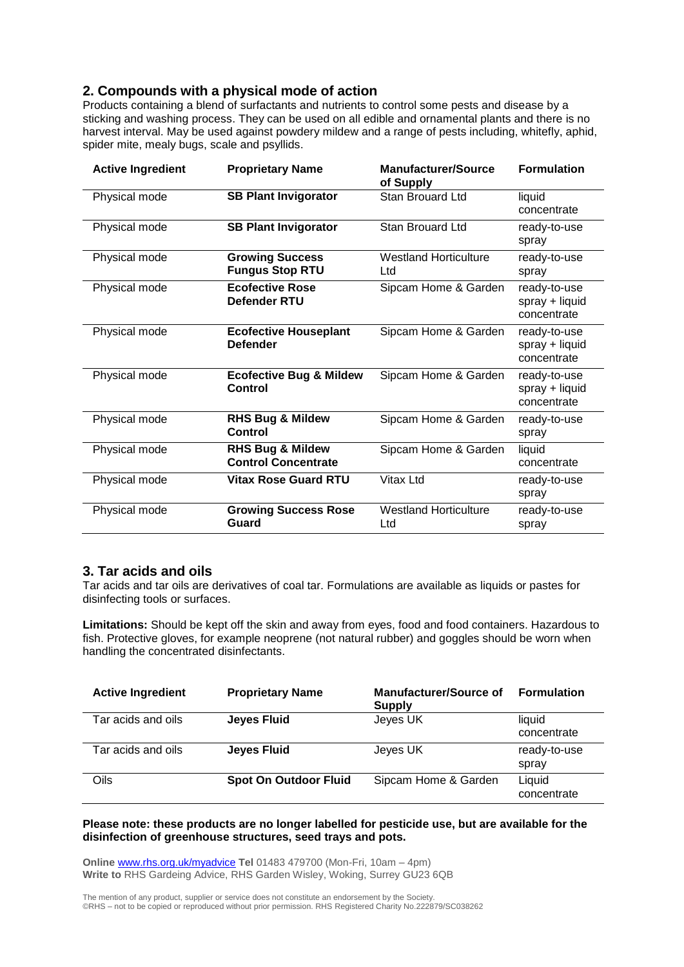### **2. Compounds with a physical mode of action**

Products containing a blend of surfactants and nutrients to control some pests and disease by a sticking and washing process. They can be used on all edible and ornamental plants and there is no harvest interval. May be used against powdery mildew and a range of pests including, whitefly, aphid, spider mite, mealy bugs, scale and psyllids.

| <b>Active Ingredient</b> | <b>Proprietary Name</b>                                   | <b>Manufacturer/Source</b><br>of Supply | <b>Formulation</b>                              |
|--------------------------|-----------------------------------------------------------|-----------------------------------------|-------------------------------------------------|
| Physical mode            | <b>SB Plant Invigorator</b>                               | Stan Brouard Ltd                        | liquid<br>concentrate                           |
| Physical mode            | <b>SB Plant Invigorator</b>                               | Stan Brouard Ltd                        |                                                 |
| Physical mode            | <b>Growing Success</b><br><b>Fungus Stop RTU</b>          | <b>Westland Horticulture</b><br>Ltd     | ready-to-use<br>spray                           |
| Physical mode            | <b>Ecofective Rose</b><br><b>Defender RTU</b>             | Sipcam Home & Garden                    | ready-to-use<br>spray + liquid<br>concentrate   |
| Physical mode            | <b>Ecofective Houseplant</b><br><b>Defender</b>           | Sipcam Home & Garden                    | ready-to-use<br>spray + liquid<br>concentrate   |
| Physical mode            | <b>Ecofective Bug &amp; Mildew</b><br>Control             | Sipcam Home & Garden                    | ready-to-use<br>$spray + liquid$<br>concentrate |
| Physical mode            | <b>RHS Bug &amp; Mildew</b><br>Control                    | Sipcam Home & Garden                    | ready-to-use<br>spray                           |
| Physical mode            | <b>RHS Bug &amp; Mildew</b><br><b>Control Concentrate</b> | Sipcam Home & Garden                    | liquid<br>concentrate                           |
| Physical mode            | <b>Vitax Rose Guard RTU</b>                               | <b>Vitax Ltd</b>                        | ready-to-use<br>spray                           |
| Physical mode            | <b>Growing Success Rose</b><br>Guard                      | <b>Westland Horticulture</b><br>Ltd     | ready-to-use<br>spray                           |

#### **3. Tar acids and oils**

Tar acids and tar oils are derivatives of coal tar. Formulations are available as liquids or pastes for disinfecting tools or surfaces.

**Limitations:** Should be kept off the skin and away from eyes, food and food containers. Hazardous to fish. Protective gloves, for example neoprene (not natural rubber) and goggles should be worn when handling the concentrated disinfectants.

| <b>Active Ingredient</b> | <b>Proprietary Name</b>      | <b>Manufacturer/Source of</b><br>Supply | <b>Formulation</b>    |
|--------------------------|------------------------------|-----------------------------------------|-----------------------|
| Tar acids and oils       | <b>Jeyes Fluid</b>           | Jeyes UK                                | liquid<br>concentrate |
| Tar acids and oils       | <b>Jeyes Fluid</b>           | Jeves UK                                | ready-to-use<br>spray |
| Oils                     | <b>Spot On Outdoor Fluid</b> | Sipcam Home & Garden                    | Liquid<br>concentrate |

#### **Please note: these products are no longer labelled for pesticide use, but are available for the disinfection of greenhouse structures, seed trays and pots.**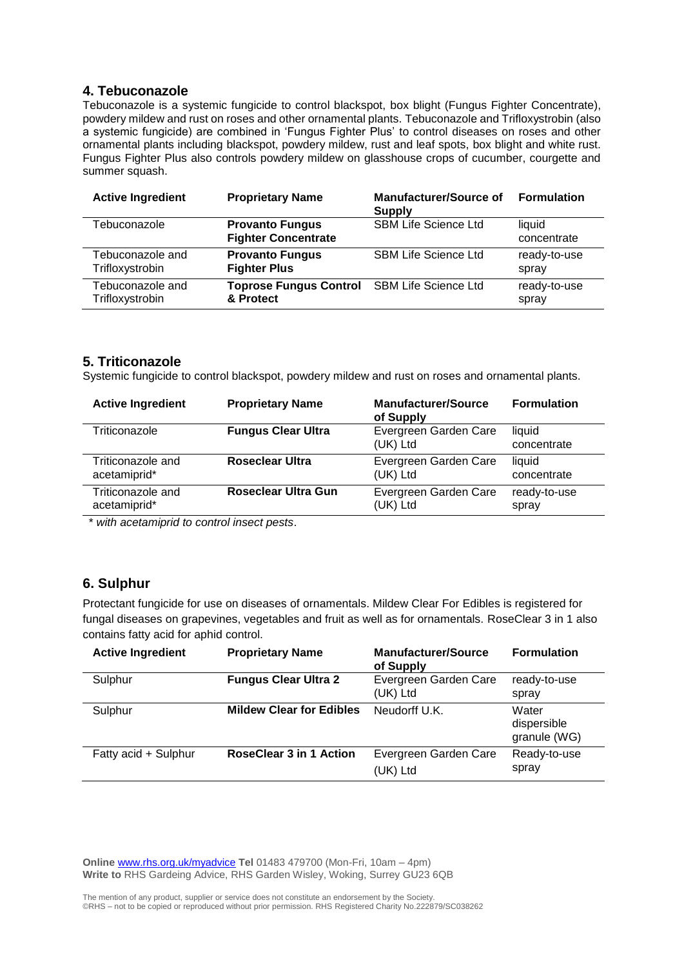#### **4. Tebuconazole**

Tebuconazole is a systemic fungicide to control blackspot, box blight (Fungus Fighter Concentrate), powdery mildew and rust on roses and other ornamental plants. Tebuconazole and Trifloxystrobin (also a systemic fungicide) are combined in 'Fungus Fighter Plus' to control diseases on roses and other ornamental plants including blackspot, powdery mildew, rust and leaf spots, box blight and white rust. Fungus Fighter Plus also controls powdery mildew on glasshouse crops of cucumber, courgette and summer squash.

| <b>Active Ingredient</b> | <b>Proprietary Name</b>                              | <b>Manufacturer/Source of</b><br><b>Supply</b> | <b>Formulation</b>    |
|--------------------------|------------------------------------------------------|------------------------------------------------|-----------------------|
| Tebuconazole             | <b>Provanto Fungus</b><br><b>Fighter Concentrate</b> | <b>SBM Life Science Ltd</b>                    | liquid<br>concentrate |
| Tebuconazole and         | <b>Provanto Fungus</b>                               | <b>SBM Life Science Ltd</b>                    | ready-to-use          |
| Trifloxystrobin          | <b>Fighter Plus</b>                                  |                                                | spray                 |
| Tebuconazole and         | <b>Toprose Fungus Control</b>                        | <b>SBM Life Science Ltd</b>                    | ready-to-use          |
| Trifloxystrobin          | & Protect                                            |                                                | spray                 |

# **5. Triticonazole**

Systemic fungicide to control blackspot, powdery mildew and rust on roses and ornamental plants.

| <b>Active Ingredient</b> | <b>Proprietary Name</b>   | <b>Manufacturer/Source</b><br>of Supply | <b>Formulation</b>    |
|--------------------------|---------------------------|-----------------------------------------|-----------------------|
| Triticonazole            | <b>Fungus Clear Ultra</b> | Evergreen Garden Care<br>(UK) Ltd       | liquid<br>concentrate |
| Triticonazole and        | <b>Roseclear Ultra</b>    | Evergreen Garden Care                   | liquid                |
| acetamiprid*             |                           | (UK) Ltd                                | concentrate           |
| Triticonazole and        | Roseclear Ultra Gun       | Evergreen Garden Care                   | ready-to-use          |
| acetamiprid*             |                           | (UK) Ltd                                | spray                 |

\* *with acetamiprid to control insect pests*.

# **6. Sulphur**

Protectant fungicide for use on diseases of ornamentals. Mildew Clear For Edibles is registered for fungal diseases on grapevines, vegetables and fruit as well as for ornamentals. RoseClear 3 in 1 also contains fatty acid for aphid control.

| <b>Active Ingredient</b> | <b>Proprietary Name</b>         | <b>Manufacturer/Source</b><br>of Supply | <b>Formulation</b>                   |
|--------------------------|---------------------------------|-----------------------------------------|--------------------------------------|
| Sulphur                  | <b>Fungus Clear Ultra 2</b>     | Evergreen Garden Care<br>(UK) Ltd       | ready-to-use<br>spray                |
| Sulphur                  | <b>Mildew Clear for Edibles</b> | Neudorff U.K.                           | Water<br>dispersible<br>granule (WG) |
| Fatty acid + Sulphur     | <b>RoseClear 3 in 1 Action</b>  | Evergreen Garden Care<br>(UK) Ltd       | Ready-to-use<br>spray                |